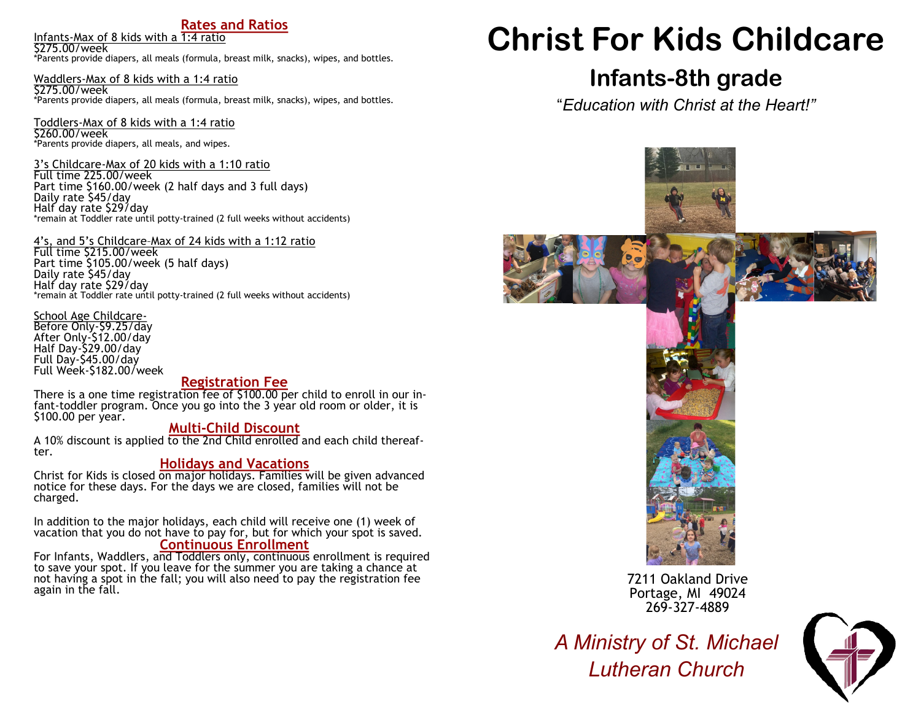# **Rates and Ratios**

Infants-Max of 8 kids with a 1:4 ratio

\$275.00/week \*Parents provide diapers, all meals (formula, breast milk, snacks), wipes, and bottles.

Waddlers-Max of 8 kids with a 1:4 ratio \$275.00/week \*Parents provide diapers, all meals (formula, breast milk, snacks), wipes, and bottles.

Toddlers-Max of 8 kids with a 1:4 ratio \$260.00/week \*Parents provide diapers, all meals, and wipes.

3's Childcare-Max of 20 kids with a 1:10 ratio Full time 225.00/week Part time \$160.00/week (2 half days and 3 full days) Daily rate \$45/day Half day rate \$29/day \*remain at Toddler rate until potty-trained (2 full weeks without accidents)

4's, and 5's Childcare–Max of 24 kids with a 1:12 ratio

Full time \$215.00/week Part time \$105.00/week (5 half days) Daily rate \$45/day Half day rate \$29/day \*remain at Toddler rate until potty-trained (2 full weeks without accidents)

School Age Childcare-Before Only-\$9.25/day After Only-\$12.00/day Half Day-\$29.00/day Full Day-\$45.00/day Full Week-\$182.00/week

# **Registration Fee**

There is a one time registration fee of \$100.00 per child to enroll in our infant-toddler program. Once you go into the 3 year old room or older, it is \$100.00 per year.

# **Multi-Child Discount**

A 10% discount is applied to the 2nd Child enrolled and each child thereafter.

# **Holidays and Vacations**

Christ for Kids is closed on major holidays. Families will be given advanced notice for these days. For the days we are closed, families will not be charged.

In addition to the major holidays, each child will receive one (1) week of vacation that you do not have to pay for, but for which your spot is saved. **Continuous Enrollment**

For Infants, Waddlers, and Toddlers only, continuous enrollment is required to save your spot. If you leave for the summer you are taking a chance at not having a spot in the fall; you will also need to pay the registration fee again in the fall.

# **Christ For Kids Childcare**

# **Infants-8th grade**

"*Education with Christ at the Heart!"*







7211 Oakland Drive Portage, MI 49024 269-327-4889

*A Ministry of St. Michael Lutheran Church*